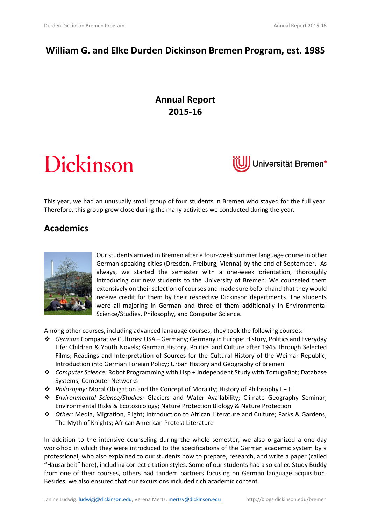# **William G. and Elke Durden Dickinson Bremen Program, est. 1985**

# **Annual Report 2015-16**

# Dickinson



This year, we had an unusually small group of four students in Bremen who stayed for the full year. Therefore, this group grew close during the many activities we conducted during the year.

## **Academics**



Our students arrived in Bremen after a four-week summer language course in other German-speaking cities (Dresden, Freiburg, Vienna) by the end of September. As always, we started the semester with a one-week orientation, thoroughly introducing our new students to the University of Bremen. We counseled them extensively on their selection of courses and made sure beforehand that they would receive credit for them by their respective Dickinson departments. The students were all majoring in German and three of them additionally in Environmental Science/Studies, Philosophy, and Computer Science.

Among other courses, including advanced language courses, they took the following courses:

- *German:* Comparative Cultures: USA Germany; Germany in Europe: History, Politics and Everyday Life; Children & Youth Novels; German History, Politics and Culture after 1945 Through Selected Films; Readings and Interpretation of Sources for the Cultural History of the Weimar Republic; Introduction into German Foreign Policy; Urban History and Geography of Bremen
- *Computer Science:* Robot Programming with Lisp + Independent Study with TortugaBot; Database Systems; Computer Networks
- *Philosophy:* Moral Obligation and the Concept of Morality; History of Philosophy I + II
- *Environmental Science/Studies:* Glaciers and Water Availability; Climate Geography Seminar; Environmental Risks & Ecotoxicology; Nature Protection Biology & Nature Protection
- *Other:* Media, Migration, Flight; Introduction to African Literature and Culture; Parks & Gardens; The Myth of Knights; African American Protest Literature

In addition to the intensive counseling during the whole semester, we also organized a one-day workshop in which they were introduced to the specifications of the German academic system by a professional, who also explained to our students how to prepare, research, and write a paper (called "Hausarbeit" here), including correct citation styles. Some of our students had a so-called Study Buddy from one of their courses, others had tandem partners focusing on German language acquisition. Besides, we also ensured that our excursions included rich academic content.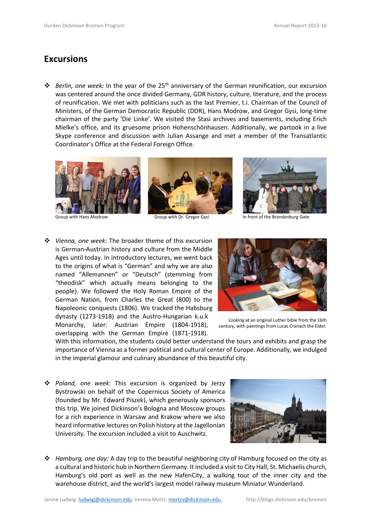### **Excursions**

 *Berlin, one week:* In the year of the 25th anniversary of the German reunification, our excursion was centered around the once divided Germany, GDR history, culture, literature, and the process of reunification. We met with politicians such as the last Premier, t.i. Chairman of the Council of Ministers, of the German Democratic Republic (DDR), Hans Modrow, and Gregor Gysi, long-time chairman of the party 'Die Linke'. We visited the Stasi archives and basements, including Erich Mielke's office, and its gruesome prison Hohenschönhausen. Additionally, we partook in a live Skype conference and discussion with Julian Assange and met a member of the Transatlantic Coordinator's Office at the Federal Foreign Office.







Group with Hans Modrow Group with Dr. Gregor Gysi Stroup with In front of the Brandenburg Gate

 *Vienna, one week*: The broader theme of this excursion is German-Austrian history and culture from the Middle Ages until today. In introductory lectures, we went back to the origins of what is "German" and why we are also named "Allemannen" or "Deutsch" (stemming from "theodisk" which actually means belonging to the people). We followed the Holy Roman Empire of the German Nation, from Charles the Great (800) to the Napoleonic conquests (1806). We tracked the Habsburg dynasty (1273-1918) and the Austro-Hungarian k.u.k Monarchy, later: Austrian Empire (1804-1918), overlapping with the German Empire (1871-1918).



Looking at an original Luther bible from the 16th century, with paintings from Lucas Cranach the Elder.

With this information, the students could better understand the tours and exhibits and grasp the importance of Vienna as a former political and cultural center of Europe. Additionally, we indulged in the imperial glamour and culinary abundance of this beautiful city.

 *Poland, one week:* This excursion is organized by Jerzy Bystrowski on behalf of the Copernicus Society of America (founded by Mr. Edward Piszek), which generously sponsors this trip. We joined Dickinson's Bologna and Moscow groups for a rich experience in Warsaw and Krakow where we also heard informative lectures on Polish history at the Jagellonian University. The excursion included a visit to Auschwitz.



 *Hamburg, one day:* A day trip to the beautiful neighboring city of Hamburg focused on the city as a cultural and historic hub in Northern Germany. It included a visit to City Hall, St. Michaelis church, Hamburg's old port as well as the new HafenCity, a walking tour of the inner city and the warehouse district, and the world's largest model railway museum [Miniatur Wunderland.](https://en.wikipedia.org/wiki/Miniatur_Wunderland)